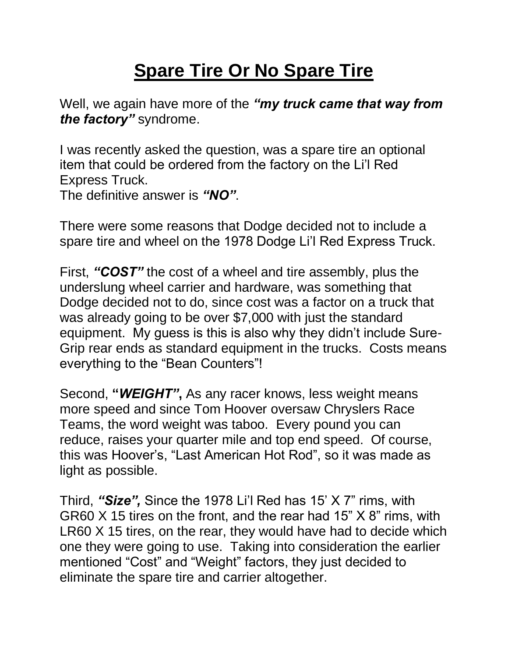## **Spare Tire Or No Spare Tire**

Well, we again have more of the *"my truck came that way from the factory"* syndrome.

I was recently asked the question, was a spare tire an optional item that could be ordered from the factory on the Li'l Red Express Truck.

The definitive answer is *"NO"*.

There were some reasons that Dodge decided not to include a spare tire and wheel on the 1978 Dodge Li'l Red Express Truck.

First, *"COST"* the cost of a wheel and tire assembly, plus the underslung wheel carrier and hardware, was something that Dodge decided not to do, since cost was a factor on a truck that was already going to be over \$7,000 with just the standard equipment. My guess is this is also why they didn't include Sure-Grip rear ends as standard equipment in the trucks. Costs means everything to the "Bean Counters"!

Second, **"***WEIGHT"***,** As any racer knows, less weight means more speed and since Tom Hoover oversaw Chryslers Race Teams, the word weight was taboo. Every pound you can reduce, raises your quarter mile and top end speed. Of course, this was Hoover's, "Last American Hot Rod", so it was made as light as possible.

Third, *"Size",* Since the 1978 Li'l Red has 15' X 7" rims, with GR60 X 15 tires on the front, and the rear had 15" X 8" rims, with LR60 X 15 tires, on the rear, they would have had to decide which one they were going to use. Taking into consideration the earlier mentioned "Cost" and "Weight" factors, they just decided to eliminate the spare tire and carrier altogether.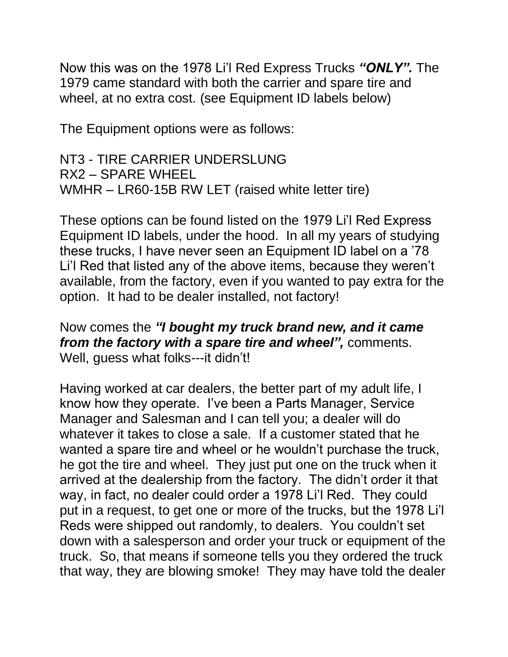Now this was on the 1978 Li'l Red Express Trucks *"ONLY".* The 1979 came standard with both the carrier and spare tire and wheel, at no extra cost. (see Equipment ID labels below)

The Equipment options were as follows:

NT3 - TIRE CARRIER UNDERSLUNG RX2 – SPARE WHEEL WMHR – LR60-15B RW LET (raised white letter tire)

These options can be found listed on the 1979 Li'l Red Express Equipment ID labels, under the hood. In all my years of studying these trucks, I have never seen an Equipment ID label on a '78 Li'l Red that listed any of the above items, because they weren't available, from the factory, even if you wanted to pay extra for the option. It had to be dealer installed, not factory!

Now comes the *"I bought my truck brand new, and it came from the factory with a spare tire and wheel",* comments. Well, guess what folks---it didn't!

Having worked at car dealers, the better part of my adult life, I know how they operate. I've been a Parts Manager, Service Manager and Salesman and I can tell you; a dealer will do whatever it takes to close a sale. If a customer stated that he wanted a spare tire and wheel or he wouldn't purchase the truck, he got the tire and wheel. They just put one on the truck when it arrived at the dealership from the factory. The didn't order it that way, in fact, no dealer could order a 1978 Li'l Red. They could put in a request, to get one or more of the trucks, but the 1978 Li'l Reds were shipped out randomly, to dealers. You couldn't set down with a salesperson and order your truck or equipment of the truck. So, that means if someone tells you they ordered the truck that way, they are blowing smoke! They may have told the dealer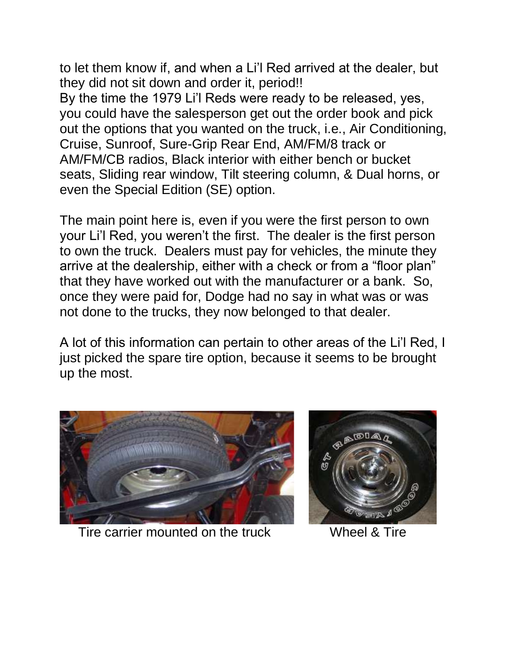to let them know if, and when a Li'l Red arrived at the dealer, but they did not sit down and order it, period!! By the time the 1979 Li'l Reds were ready to be released, yes, you could have the salesperson get out the order book and pick out the options that you wanted on the truck, i.e., Air Conditioning, Cruise, Sunroof, Sure-Grip Rear End, AM/FM/8 track or AM/FM/CB radios, Black interior with either bench or bucket seats, Sliding rear window, Tilt steering column, & Dual horns, or even the Special Edition (SE) option.

The main point here is, even if you were the first person to own your Li'l Red, you weren't the first. The dealer is the first person to own the truck. Dealers must pay for vehicles, the minute they arrive at the dealership, either with a check or from a "floor plan" that they have worked out with the manufacturer or a bank. So, once they were paid for, Dodge had no say in what was or was not done to the trucks, they now belonged to that dealer.

A lot of this information can pertain to other areas of the Li'l Red, I just picked the spare tire option, because it seems to be brought up the most.



Tire carrier mounted on the truck Wheel & Tire

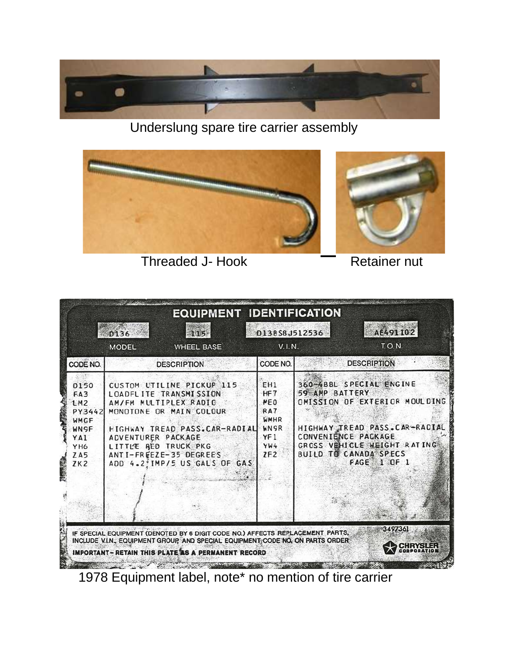

Underslung spare tire carrier assembly



Threaded J- Hook **Retainer nut** 



1978 Equipment label, note\* no mention of tire carrier